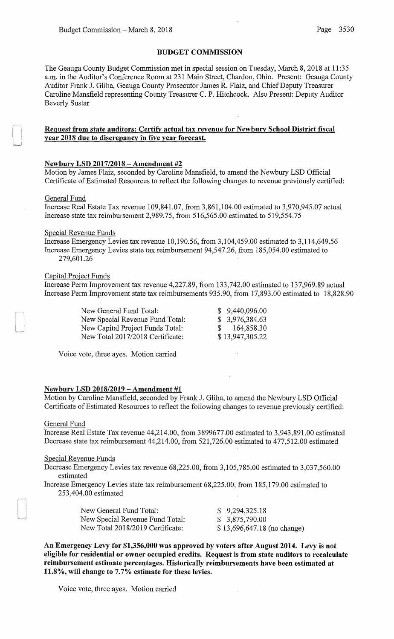## BUDGET COMMISSION

The Geauga County Budget Commission met in special session on Tuesday, March 8, 2018 at 11:35 a.m. in the Auditor's Conference Room at 231 Main Street, Chardon, Ohio. Present: Geauga County Auditor Frank J. Gliha, Geauga County Prosecutor James R. Flaiz, and Chief Deputy Treasurer Caroline Mansfield representing County Treasurer C. P. Hitchcock. Also Present: Deputy Auditor Beverly Sustar

## Request from state auditors: Certify actual tax revenue for Newbury School District fiscal year 2018 due to discrepancy in five year forecast.

## Newbury LSD 2017/2018 - Amendment #2

Motion by James Flaiz, seconded by Caroline Mansfield, to amend the Newbury LSD Official Certificate of Estimated Resources to reflect the following changes to revenue previously certified:

### General Fund

Increase Real Estate Tax revenue 109,841.07, from 3,861,104.00 estimated to 3,970,945.07 actual Increase state tax reimbursement 2,989.75, from 516,565.00 estimated to 519,554.75

### Special Revenue Funds

Increase Emergency Levies tax revenue 10,190.56, from 3,104,459.00 estimated to 3,114,649.56 Increase Emergency Levies state tax reimbursement 94,547.26, from 185,054.00 estimated to 279,601.26

## Capital Project Funds

Increase Perm Improvement tax revenue 4,227.89, from 133,742.00 estimated to 137,969.89 actual Increase Perm Improvement state tax reimbursements 935.90, from 17,893.00 estimated to 18,828.90

| New General Fund Total:          | \$9,440,096.00  |
|----------------------------------|-----------------|
| New Special Revenue Fund Total:  | \$3,976,384.63  |
| New Capital Project Funds Total: | \$164,858.30    |
| New Total 2017/2018 Certificate: | \$13,947,305.22 |

Voice vote, three ayes. Motion carried

### Newbury LSD 2018/2019- Amendment #1

Motion by Caroline Mansfield, seconded by Frank J. Gliha, to amend the Newbury LSD Official Certificate of Estimated Resources to reflect the following changes to revenue previously certified:

#### General Fund

Increase Real Estate Tax revenue 44,214.00, from 3899677.00 estimated to 3,943,891.00 estimated Decrease state tax reimbursement 44,214.00, from 521,726.00 estimated to 477,512.00 estimated

### Special Revenue Funds

Decrease Emergency Levies tax revenue 68,225.00, from 3,105,785.00 estimated to 3,037,560.00 estimated

Increase Emergency Levies state tax reimbursement 68,225.00, from 185,179.00 estimated to 253,404.00 estimated

| New General Fund Total:          | \$9,294,325.18              |
|----------------------------------|-----------------------------|
| New Special Revenue Fund Total:  | \$3,875,790.00              |
| New Total 2018/2019 Certificate: | \$13,696,647.18 (no change) |

An Emergency Levy for \$1,356,000 was approved by voters after August 2014. Levy is not eligible for residential or owner occupied credits. Request is from state auditors to recalculate reimbursement estimate percentages. Historically reimbursements have been estimated at 11.8%, will change to 7.7% estimate for these levies.

Voice vote, three ayes. Motion carried